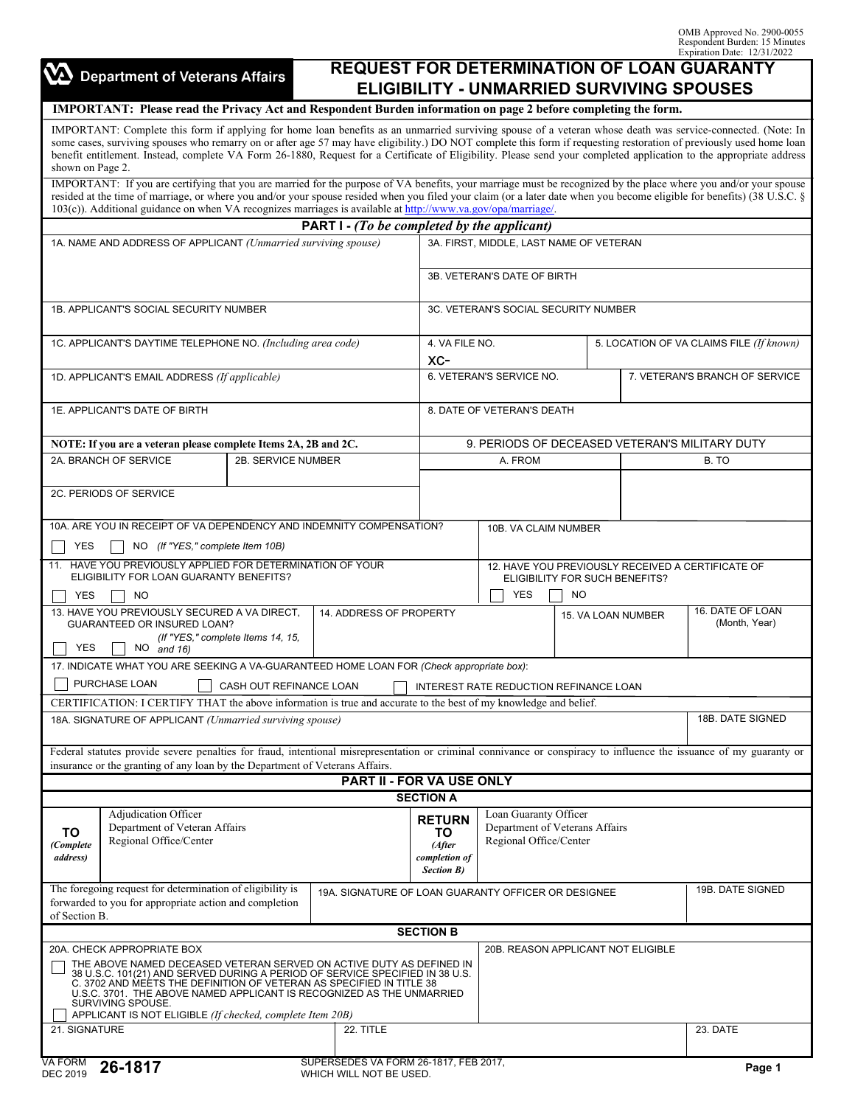OMB Approved No. 2900-0055 Respondent Burden: 15 Minutes Expiration Date: 12/31/2022

| $\sum$ Department of Veterans Affairs |  |  |  |  |  |  |
|---------------------------------------|--|--|--|--|--|--|
|---------------------------------------|--|--|--|--|--|--|

## **REQUEST FOR DETERMINATION OF LOAN GUARANTY ELIGIBILITY - UNMARRIED SURVIVING SPOUSES**

## IMPORTANT: Please read the Privacy Act and Respondent Burden information on page 2 before completing the form.

IMPORTANT: Complete this form if applying for home loan benefits as an unmarried surviving spouse of a veteran whose death was service-connected. (Note: In some cases, surviving spouses who remarry on or after age 57 may have eligibility.) DO NOT complete this form if requesting restoration of previously used home loan benefit entitlement. Instead, complete VA Form 26-1880, Request for a Certificate of Eligibility. Please send your completed application to the appropriate address shown on Page 2.

IMPORTANT: If you are certifying that you are married for the purpose of VA benefits, your marriage must be recognized by the place where you and/or your spouse resided at the time of marriage, or where you and/or your spouse resided when you filed your claim (or a later date when you become eligible for benefits) (38 U.S.C. § 103(c)). Additional guidance on when VA recognizes marriages is available at [http://www.va.gov/opa/marriage/.](http://www.va.gov/opa/marriage/)

| <b>PART 1 - (To be completed by the applicant)</b>                                                                                                                                                                                                                                                                                                                                                                                                       |                                                                                                                                                                                                                                                     |                                                         |                                                                                     |                                                                                   |                                |                                          |  |  |
|----------------------------------------------------------------------------------------------------------------------------------------------------------------------------------------------------------------------------------------------------------------------------------------------------------------------------------------------------------------------------------------------------------------------------------------------------------|-----------------------------------------------------------------------------------------------------------------------------------------------------------------------------------------------------------------------------------------------------|---------------------------------------------------------|-------------------------------------------------------------------------------------|-----------------------------------------------------------------------------------|--------------------------------|------------------------------------------|--|--|
| 1A. NAME AND ADDRESS OF APPLICANT (Unmarried surviving spouse)                                                                                                                                                                                                                                                                                                                                                                                           |                                                                                                                                                                                                                                                     |                                                         | 3A. FIRST, MIDDLE, LAST NAME OF VETERAN                                             |                                                                                   |                                |                                          |  |  |
|                                                                                                                                                                                                                                                                                                                                                                                                                                                          |                                                                                                                                                                                                                                                     |                                                         | 3B. VETERAN'S DATE OF BIRTH                                                         |                                                                                   |                                |                                          |  |  |
| 1B. APPLICANT'S SOCIAL SECURITY NUMBER                                                                                                                                                                                                                                                                                                                                                                                                                   | 3C. VETERAN'S SOCIAL SECURITY NUMBER                                                                                                                                                                                                                |                                                         |                                                                                     |                                                                                   |                                |                                          |  |  |
| 1C. APPLICANT'S DAYTIME TELEPHONE NO. (Including area code)                                                                                                                                                                                                                                                                                                                                                                                              |                                                                                                                                                                                                                                                     | 4. VA FILE NO.                                          |                                                                                     |                                                                                   |                                | 5. LOCATION OF VA CLAIMS FILE (If known) |  |  |
|                                                                                                                                                                                                                                                                                                                                                                                                                                                          |                                                                                                                                                                                                                                                     | $XC-$                                                   |                                                                                     |                                                                                   |                                |                                          |  |  |
| 1D. APPLICANT'S EMAIL ADDRESS (If applicable)                                                                                                                                                                                                                                                                                                                                                                                                            | 6. VETERAN'S SERVICE NO.                                                                                                                                                                                                                            |                                                         |                                                                                     |                                                                                   | 7. VETERAN'S BRANCH OF SERVICE |                                          |  |  |
| 1E. APPLICANT'S DATE OF BIRTH<br>8. DATE OF VETERAN'S DEATH                                                                                                                                                                                                                                                                                                                                                                                              |                                                                                                                                                                                                                                                     |                                                         |                                                                                     |                                                                                   |                                |                                          |  |  |
| NOTE: If you are a veteran please complete Items 2A, 2B and 2C.                                                                                                                                                                                                                                                                                                                                                                                          |                                                                                                                                                                                                                                                     | 9. PERIODS OF DECEASED VETERAN'S MILITARY DUTY          |                                                                                     |                                                                                   |                                |                                          |  |  |
| 2A. BRANCH OF SERVICE                                                                                                                                                                                                                                                                                                                                                                                                                                    | 2B. SERVICE NUMBER                                                                                                                                                                                                                                  |                                                         |                                                                                     |                                                                                   |                                | B. TO                                    |  |  |
| 2C. PERIODS OF SERVICE                                                                                                                                                                                                                                                                                                                                                                                                                                   |                                                                                                                                                                                                                                                     |                                                         |                                                                                     |                                                                                   |                                |                                          |  |  |
| 10A. ARE YOU IN RECEIPT OF VA DEPENDENCY AND INDEMNITY COMPENSATION?                                                                                                                                                                                                                                                                                                                                                                                     |                                                                                                                                                                                                                                                     |                                                         | 10B. VA CLAIM NUMBER                                                                |                                                                                   |                                |                                          |  |  |
| YES<br>NO (If "YES," complete Item 10B)                                                                                                                                                                                                                                                                                                                                                                                                                  |                                                                                                                                                                                                                                                     |                                                         |                                                                                     |                                                                                   |                                |                                          |  |  |
| 11. HAVE YOU PREVIOUSLY APPLIED FOR DETERMINATION OF YOUR<br>ELIGIBILITY FOR LOAN GUARANTY BENEFITS?                                                                                                                                                                                                                                                                                                                                                     |                                                                                                                                                                                                                                                     |                                                         | 12. HAVE YOU PREVIOUSLY RECEIVED A CERTIFICATE OF<br>ELIGIBILITY FOR SUCH BENEFITS? |                                                                                   |                                |                                          |  |  |
| YES<br>NO                                                                                                                                                                                                                                                                                                                                                                                                                                                |                                                                                                                                                                                                                                                     | <b>YES</b>                                              | <b>NO</b>                                                                           |                                                                                   |                                |                                          |  |  |
| 13. HAVE YOU PREVIOUSLY SECURED A VA DIRECT,<br>GUARANTEED OR INSURED LOAN?<br>(If "YES," complete Items 14, 15,<br><b>YES</b><br>$NO$ and 16)                                                                                                                                                                                                                                                                                                           | 14. ADDRESS OF PROPERTY                                                                                                                                                                                                                             | 16. DATE OF LOAN<br>15. VA LOAN NUMBER<br>(Month, Year) |                                                                                     |                                                                                   |                                |                                          |  |  |
| 17. INDICATE WHAT YOU ARE SEEKING A VA-GUARANTEED HOME LOAN FOR (Check appropriate box):                                                                                                                                                                                                                                                                                                                                                                 |                                                                                                                                                                                                                                                     |                                                         |                                                                                     |                                                                                   |                                |                                          |  |  |
| PURCHASE LOAN<br>CASH OUT REFINANCE LOAN                                                                                                                                                                                                                                                                                                                                                                                                                 |                                                                                                                                                                                                                                                     |                                                         | INTEREST RATE REDUCTION REFINANCE LOAN                                              |                                                                                   |                                |                                          |  |  |
| CERTIFICATION: I CERTIFY THAT the above information is true and accurate to the best of my knowledge and belief.                                                                                                                                                                                                                                                                                                                                         |                                                                                                                                                                                                                                                     |                                                         |                                                                                     |                                                                                   |                                |                                          |  |  |
| 18A. SIGNATURE OF APPLICANT (Unmarried surviving spouse)                                                                                                                                                                                                                                                                                                                                                                                                 |                                                                                                                                                                                                                                                     |                                                         |                                                                                     |                                                                                   |                                | 18B. DATE SIGNED                         |  |  |
|                                                                                                                                                                                                                                                                                                                                                                                                                                                          | Federal statutes provide severe penalties for fraud, intentional misrepresentation or criminal connivance or conspiracy to influence the issuance of my guaranty or<br>insurance or the granting of any loan by the Department of Veterans Affairs. |                                                         |                                                                                     |                                                                                   |                                |                                          |  |  |
|                                                                                                                                                                                                                                                                                                                                                                                                                                                          | <b>PART II - FOR VA USE ONLY</b>                                                                                                                                                                                                                    |                                                         |                                                                                     |                                                                                   |                                |                                          |  |  |
|                                                                                                                                                                                                                                                                                                                                                                                                                                                          |                                                                                                                                                                                                                                                     | <b>SECTION A</b>                                        |                                                                                     |                                                                                   |                                |                                          |  |  |
| Adjudication Officer<br>Department of Veteran Affairs<br>ΤО<br>Regional Office/Center<br>(Complete<br><i>address</i> )                                                                                                                                                                                                                                                                                                                                   | <b>RETURN</b><br>completion of<br><b>Section B)</b>                                                                                                                                                                                                 |                                                         |                                                                                     | Loan Guaranty Officer<br>Department of Veterans Affairs<br>Regional Office/Center |                                |                                          |  |  |
| The foregoing request for determination of eligibility is<br>forwarded to you for appropriate action and completion<br>of Section B.                                                                                                                                                                                                                                                                                                                     | 19A. SIGNATURE OF LOAN GUARANTY OFFICER OR DESIGNEE                                                                                                                                                                                                 |                                                         |                                                                                     |                                                                                   |                                | 19B. DATE SIGNED                         |  |  |
| <b>SECTION B</b>                                                                                                                                                                                                                                                                                                                                                                                                                                         |                                                                                                                                                                                                                                                     |                                                         |                                                                                     |                                                                                   |                                |                                          |  |  |
| 20A. CHECK APPROPRIATE BOX<br>20B. REASON APPLICANT NOT ELIGIBLE<br>THE ABOVE NAMED DECEASED VETERAN SERVED ON ACTIVE DUTY AS DEFINED IN 38 U.S.C. 101(21) AND SERVED DURING A PERIOD OF SERVICE SPECIFIED IN 38 U.S.<br>C. 3702 AND MEETS THE DEFINITION OF VETERAN AS SPECIFIED IN TITLE 38<br>U.S.C. 3701. THE ABOVE NAMED APPLICANT IS RECOGNIZED AS THE UNMARRIED<br>SURVIVING SPOUSE.<br>APPLICANT IS NOT ELIGIBLE (If checked, complete Item 20B) |                                                                                                                                                                                                                                                     |                                                         |                                                                                     |                                                                                   |                                |                                          |  |  |
| 21. SIGNATURE                                                                                                                                                                                                                                                                                                                                                                                                                                            | 22. TITLE                                                                                                                                                                                                                                           |                                                         |                                                                                     |                                                                                   |                                | 23. DATE                                 |  |  |
| VA FORM<br>26-1817<br>DEC 2019                                                                                                                                                                                                                                                                                                                                                                                                                           | SUPERSEDES VA FORM 26-1817, FEB 2017,<br>WHICH WILL NOT BE USED.                                                                                                                                                                                    |                                                         |                                                                                     |                                                                                   |                                | Page 1                                   |  |  |